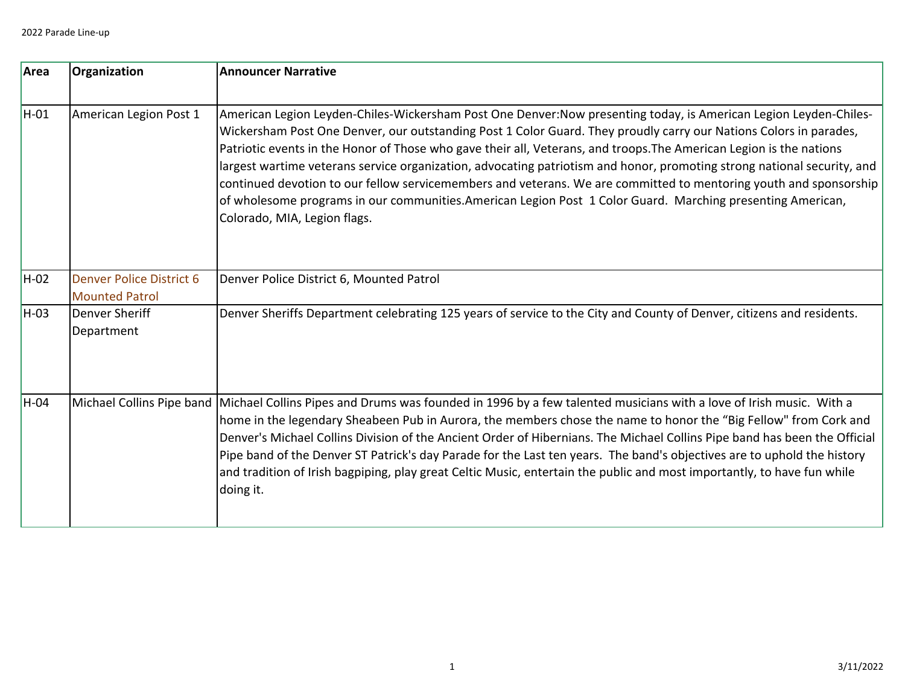| Area | Organization                                             | <b>Announcer Narrative</b>                                                                                                                                                                                                                                                                                                                                                                                                                                                                                                                                                                                                                                                                                                                                 |
|------|----------------------------------------------------------|------------------------------------------------------------------------------------------------------------------------------------------------------------------------------------------------------------------------------------------------------------------------------------------------------------------------------------------------------------------------------------------------------------------------------------------------------------------------------------------------------------------------------------------------------------------------------------------------------------------------------------------------------------------------------------------------------------------------------------------------------------|
| H-01 | American Legion Post 1                                   | American Legion Leyden-Chiles-Wickersham Post One Denver:Now presenting today, is American Legion Leyden-Chiles-<br>Wickersham Post One Denver, our outstanding Post 1 Color Guard. They proudly carry our Nations Colors in parades,<br>Patriotic events in the Honor of Those who gave their all, Veterans, and troops. The American Legion is the nations<br>largest wartime veterans service organization, advocating patriotism and honor, promoting strong national security, and<br>continued devotion to our fellow servicemembers and veterans. We are committed to mentoring youth and sponsorship<br>of wholesome programs in our communities.American Legion Post 1 Color Guard. Marching presenting American,<br>Colorado, MIA, Legion flags. |
| H-02 | <b>Denver Police District 6</b><br><b>Mounted Patrol</b> | Denver Police District 6, Mounted Patrol                                                                                                                                                                                                                                                                                                                                                                                                                                                                                                                                                                                                                                                                                                                   |
| H-03 | Denver Sheriff<br>Department                             | Denver Sheriffs Department celebrating 125 years of service to the City and County of Denver, citizens and residents.                                                                                                                                                                                                                                                                                                                                                                                                                                                                                                                                                                                                                                      |
| H-04 |                                                          | Michael Collins Pipe band Michael Collins Pipes and Drums was founded in 1996 by a few talented musicians with a love of Irish music. With a<br>home in the legendary Sheabeen Pub in Aurora, the members chose the name to honor the "Big Fellow" from Cork and<br>Denver's Michael Collins Division of the Ancient Order of Hibernians. The Michael Collins Pipe band has been the Official<br>Pipe band of the Denver ST Patrick's day Parade for the Last ten years. The band's objectives are to uphold the history<br>and tradition of Irish bagpiping, play great Celtic Music, entertain the public and most importantly, to have fun while<br>doing it.                                                                                           |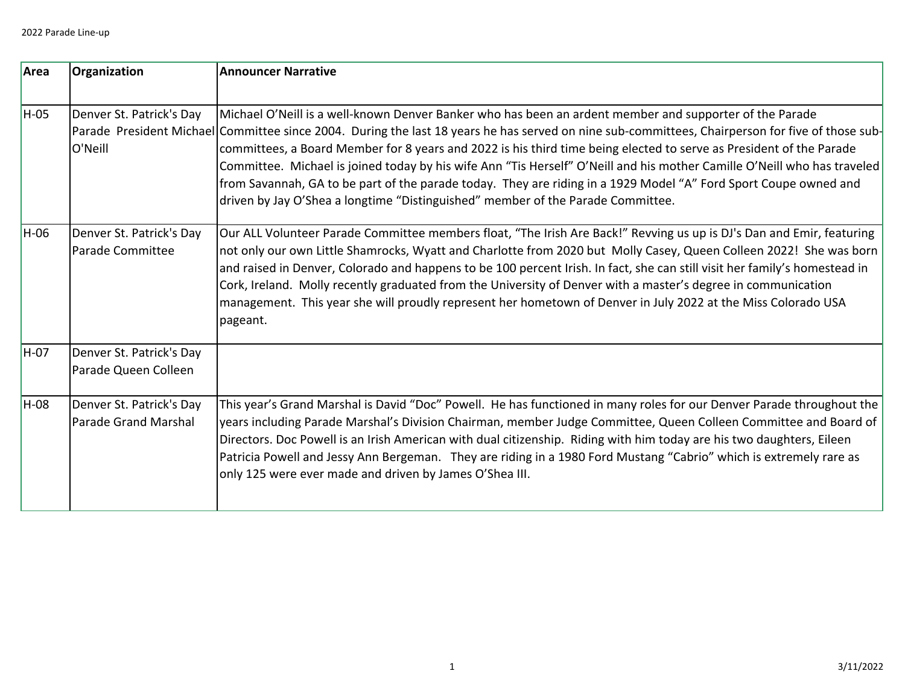| Area   | Organization                                            | Announcer Narrative                                                                                                                                                                                                                                                                                                                                                                                                                                                                                                                                                                                                                                                                                                   |
|--------|---------------------------------------------------------|-----------------------------------------------------------------------------------------------------------------------------------------------------------------------------------------------------------------------------------------------------------------------------------------------------------------------------------------------------------------------------------------------------------------------------------------------------------------------------------------------------------------------------------------------------------------------------------------------------------------------------------------------------------------------------------------------------------------------|
| H-05   | Denver St. Patrick's Day<br>O'Neill                     | Michael O'Neill is a well-known Denver Banker who has been an ardent member and supporter of the Parade<br>Parade President Michael Committee since 2004. During the last 18 years he has served on nine sub-committees, Chairperson for five of those sub-<br>committees, a Board Member for 8 years and 2022 is his third time being elected to serve as President of the Parade<br>Committee. Michael is joined today by his wife Ann "Tis Herself" O'Neill and his mother Camille O'Neill who has traveled<br>from Savannah, GA to be part of the parade today. They are riding in a 1929 Model "A" Ford Sport Coupe owned and<br>driven by Jay O'Shea a longtime "Distinguished" member of the Parade Committee. |
| H-06   | Denver St. Patrick's Day<br>Parade Committee            | Our ALL Volunteer Parade Committee members float, "The Irish Are Back!" Revving us up is DJ's Dan and Emir, featuring<br>not only our own Little Shamrocks, Wyatt and Charlotte from 2020 but Molly Casey, Queen Colleen 2022! She was born<br>and raised in Denver, Colorado and happens to be 100 percent Irish. In fact, she can still visit her family's homestead in<br>Cork, Ireland. Molly recently graduated from the University of Denver with a master's degree in communication<br>management. This year she will proudly represent her hometown of Denver in July 2022 at the Miss Colorado USA<br>pageant.                                                                                               |
| $H-07$ | Denver St. Patrick's Day<br>Parade Queen Colleen        |                                                                                                                                                                                                                                                                                                                                                                                                                                                                                                                                                                                                                                                                                                                       |
| H-08   | Denver St. Patrick's Day<br><b>Parade Grand Marshal</b> | This year's Grand Marshal is David "Doc" Powell. He has functioned in many roles for our Denver Parade throughout the<br>years including Parade Marshal's Division Chairman, member Judge Committee, Queen Colleen Committee and Board of<br>Directors. Doc Powell is an Irish American with dual citizenship. Riding with him today are his two daughters, Eileen<br>Patricia Powell and Jessy Ann Bergeman. They are riding in a 1980 Ford Mustang "Cabrio" which is extremely rare as<br>only 125 were ever made and driven by James O'Shea III.                                                                                                                                                                   |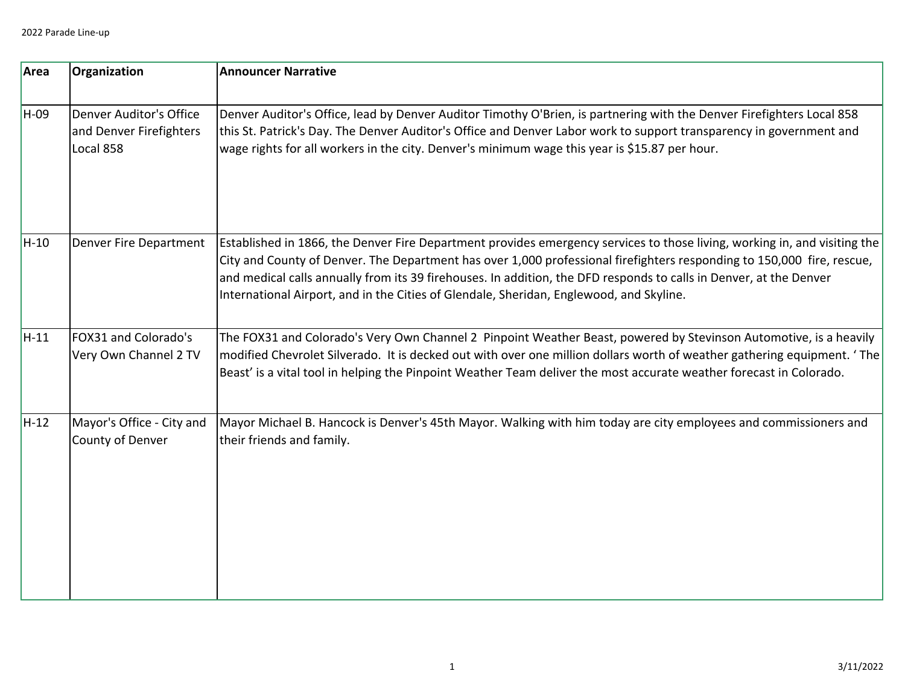| Area   | Organization                                                           | <b>Announcer Narrative</b>                                                                                                                                                                                                                                                                                                                                                                                                                                           |
|--------|------------------------------------------------------------------------|----------------------------------------------------------------------------------------------------------------------------------------------------------------------------------------------------------------------------------------------------------------------------------------------------------------------------------------------------------------------------------------------------------------------------------------------------------------------|
| H-09   | <b>Denver Auditor's Office</b><br>and Denver Firefighters<br>Local 858 | Denver Auditor's Office, lead by Denver Auditor Timothy O'Brien, is partnering with the Denver Firefighters Local 858<br>this St. Patrick's Day. The Denver Auditor's Office and Denver Labor work to support transparency in government and<br>wage rights for all workers in the city. Denver's minimum wage this year is \$15.87 per hour.                                                                                                                        |
| $H-10$ | Denver Fire Department                                                 | Established in 1866, the Denver Fire Department provides emergency services to those living, working in, and visiting the<br>City and County of Denver. The Department has over 1,000 professional firefighters responding to 150,000 fire, rescue,<br>and medical calls annually from its 39 firehouses. In addition, the DFD responds to calls in Denver, at the Denver<br>International Airport, and in the Cities of Glendale, Sheridan, Englewood, and Skyline. |
| $H-11$ | FOX31 and Colorado's<br>Very Own Channel 2 TV                          | The FOX31 and Colorado's Very Own Channel 2 Pinpoint Weather Beast, powered by Stevinson Automotive, is a heavily<br>modified Chevrolet Silverado. It is decked out with over one million dollars worth of weather gathering equipment. 'The<br>Beast' is a vital tool in helping the Pinpoint Weather Team deliver the most accurate weather forecast in Colorado.                                                                                                  |
| H-12   | Mayor's Office - City and<br>County of Denver                          | Mayor Michael B. Hancock is Denver's 45th Mayor. Walking with him today are city employees and commissioners and<br>their friends and family.                                                                                                                                                                                                                                                                                                                        |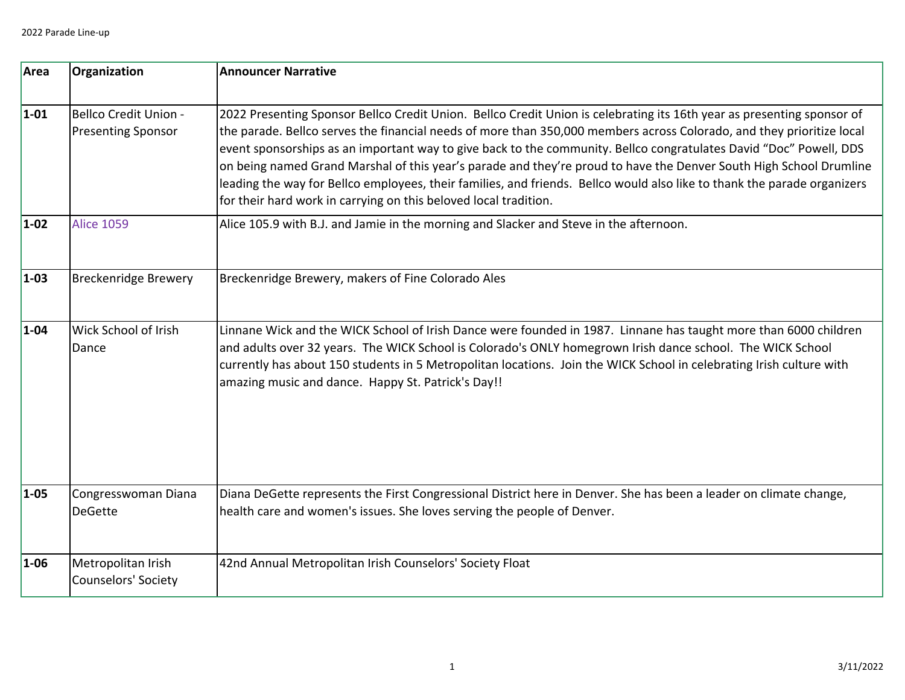| Area     | Organization                                              | <b>Announcer Narrative</b>                                                                                                                                                                                                                                                                                                                                                                                                                                                                                                                                                                                                                                                                  |
|----------|-----------------------------------------------------------|---------------------------------------------------------------------------------------------------------------------------------------------------------------------------------------------------------------------------------------------------------------------------------------------------------------------------------------------------------------------------------------------------------------------------------------------------------------------------------------------------------------------------------------------------------------------------------------------------------------------------------------------------------------------------------------------|
| $1-01$   | <b>Bellco Credit Union -</b><br><b>Presenting Sponsor</b> | 2022 Presenting Sponsor Bellco Credit Union. Bellco Credit Union is celebrating its 16th year as presenting sponsor of<br>the parade. Bellco serves the financial needs of more than 350,000 members across Colorado, and they prioritize local<br>event sponsorships as an important way to give back to the community. Bellco congratulates David "Doc" Powell, DDS<br>on being named Grand Marshal of this year's parade and they're proud to have the Denver South High School Drumline<br>leading the way for Bellco employees, their families, and friends. Bellco would also like to thank the parade organizers<br>for their hard work in carrying on this beloved local tradition. |
| $1-02$   | <b>Alice 1059</b>                                         | Alice 105.9 with B.J. and Jamie in the morning and Slacker and Steve in the afternoon.                                                                                                                                                                                                                                                                                                                                                                                                                                                                                                                                                                                                      |
| $1-03$   | <b>Breckenridge Brewery</b>                               | Breckenridge Brewery, makers of Fine Colorado Ales                                                                                                                                                                                                                                                                                                                                                                                                                                                                                                                                                                                                                                          |
| $1 - 04$ | Wick School of Irish<br>Dance                             | Linnane Wick and the WICK School of Irish Dance were founded in 1987. Linnane has taught more than 6000 children<br>and adults over 32 years. The WICK School is Colorado's ONLY homegrown Irish dance school. The WICK School<br>currently has about 150 students in 5 Metropolitan locations. Join the WICK School in celebrating Irish culture with<br>amazing music and dance. Happy St. Patrick's Day!!                                                                                                                                                                                                                                                                                |
| $1 - 05$ | Congresswoman Diana<br><b>DeGette</b>                     | Diana DeGette represents the First Congressional District here in Denver. She has been a leader on climate change,<br>health care and women's issues. She loves serving the people of Denver.                                                                                                                                                                                                                                                                                                                                                                                                                                                                                               |
| $1 - 06$ | Metropolitan Irish<br>Counselors' Society                 | 42nd Annual Metropolitan Irish Counselors' Society Float                                                                                                                                                                                                                                                                                                                                                                                                                                                                                                                                                                                                                                    |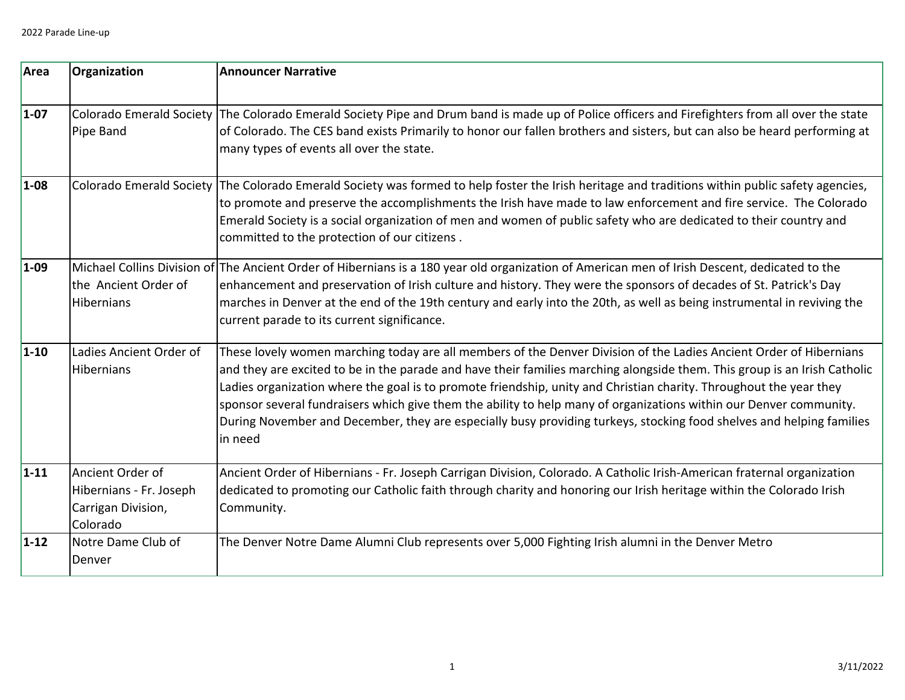| Area     | Organization                                                                  | <b>Announcer Narrative</b>                                                                                                                                                                                                                                                                                                                                                                                                                                                                                                                                                                                                     |
|----------|-------------------------------------------------------------------------------|--------------------------------------------------------------------------------------------------------------------------------------------------------------------------------------------------------------------------------------------------------------------------------------------------------------------------------------------------------------------------------------------------------------------------------------------------------------------------------------------------------------------------------------------------------------------------------------------------------------------------------|
| $1-07$   | <b>Colorado Emerald Society</b><br>Pipe Band                                  | The Colorado Emerald Society Pipe and Drum band is made up of Police officers and Firefighters from all over the state<br>of Colorado. The CES band exists Primarily to honor our fallen brothers and sisters, but can also be heard performing at<br>many types of events all over the state.                                                                                                                                                                                                                                                                                                                                 |
| $1 - 08$ | <b>Colorado Emerald Society</b>                                               | The Colorado Emerald Society was formed to help foster the Irish heritage and traditions within public safety agencies,<br>to promote and preserve the accomplishments the Irish have made to law enforcement and fire service. The Colorado<br>Emerald Society is a social organization of men and women of public safety who are dedicated to their country and<br>committed to the protection of our citizens.                                                                                                                                                                                                              |
| $1-09$   | the Ancient Order of<br><b>Hibernians</b>                                     | Michael Collins Division of The Ancient Order of Hibernians is a 180 year old organization of American men of Irish Descent, dedicated to the<br>enhancement and preservation of Irish culture and history. They were the sponsors of decades of St. Patrick's Day<br>marches in Denver at the end of the 19th century and early into the 20th, as well as being instrumental in reviving the<br>current parade to its current significance.                                                                                                                                                                                   |
| $1 - 10$ | Ladies Ancient Order of<br>Hibernians                                         | These lovely women marching today are all members of the Denver Division of the Ladies Ancient Order of Hibernians<br>and they are excited to be in the parade and have their families marching alongside them. This group is an Irish Catholic<br>Ladies organization where the goal is to promote friendship, unity and Christian charity. Throughout the year they<br>sponsor several fundraisers which give them the ability to help many of organizations within our Denver community.<br>During November and December, they are especially busy providing turkeys, stocking food shelves and helping families<br>in need |
| $1 - 11$ | Ancient Order of<br>Hibernians - Fr. Joseph<br>Carrigan Division,<br>Colorado | Ancient Order of Hibernians - Fr. Joseph Carrigan Division, Colorado. A Catholic Irish-American fraternal organization<br>dedicated to promoting our Catholic faith through charity and honoring our Irish heritage within the Colorado Irish<br>Community.                                                                                                                                                                                                                                                                                                                                                                    |
| $1 - 12$ | Notre Dame Club of<br>Denver                                                  | The Denver Notre Dame Alumni Club represents over 5,000 Fighting Irish alumni in the Denver Metro                                                                                                                                                                                                                                                                                                                                                                                                                                                                                                                              |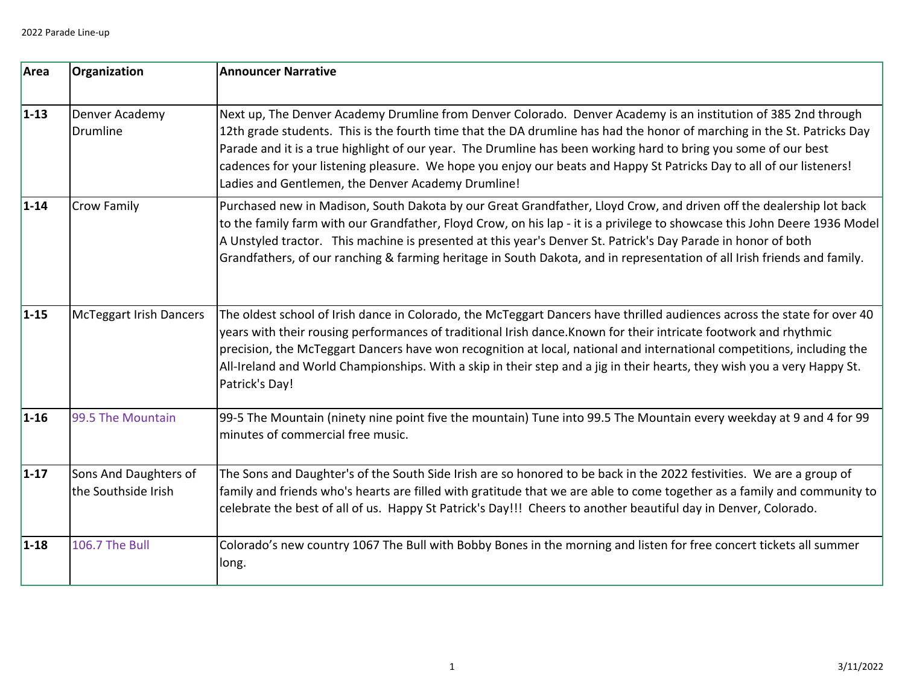| Area     | Organization                                 | <b>Announcer Narrative</b>                                                                                                                                                                                                                                                                                                                                                                                                                                                                                                                 |
|----------|----------------------------------------------|--------------------------------------------------------------------------------------------------------------------------------------------------------------------------------------------------------------------------------------------------------------------------------------------------------------------------------------------------------------------------------------------------------------------------------------------------------------------------------------------------------------------------------------------|
| $1 - 13$ | Denver Academy<br><b>Drumline</b>            | Next up, The Denver Academy Drumline from Denver Colorado. Denver Academy is an institution of 385 2nd through<br>12th grade students. This is the fourth time that the DA drumline has had the honor of marching in the St. Patricks Day<br>Parade and it is a true highlight of our year. The Drumline has been working hard to bring you some of our best<br>cadences for your listening pleasure. We hope you enjoy our beats and Happy St Patricks Day to all of our listeners!<br>Ladies and Gentlemen, the Denver Academy Drumline! |
| $1 - 14$ | <b>Crow Family</b>                           | Purchased new in Madison, South Dakota by our Great Grandfather, Lloyd Crow, and driven off the dealership lot back<br>to the family farm with our Grandfather, Floyd Crow, on his lap - it is a privilege to showcase this John Deere 1936 Model<br>A Unstyled tractor. This machine is presented at this year's Denver St. Patrick's Day Parade in honor of both<br>Grandfathers, of our ranching & farming heritage in South Dakota, and in representation of all Irish friends and family.                                             |
| $1 - 15$ | <b>McTeggart Irish Dancers</b>               | The oldest school of Irish dance in Colorado, the McTeggart Dancers have thrilled audiences across the state for over 40<br>years with their rousing performances of traditional Irish dance. Known for their intricate footwork and rhythmic<br>precision, the McTeggart Dancers have won recognition at local, national and international competitions, including the<br>All-Ireland and World Championships. With a skip in their step and a jig in their hearts, they wish you a very Happy St.<br>Patrick's Day!                      |
| $1 - 16$ | 99.5 The Mountain                            | 99-5 The Mountain (ninety nine point five the mountain) Tune into 99.5 The Mountain every weekday at 9 and 4 for 99<br>minutes of commercial free music.                                                                                                                                                                                                                                                                                                                                                                                   |
| $1 - 17$ | Sons And Daughters of<br>the Southside Irish | The Sons and Daughter's of the South Side Irish are so honored to be back in the 2022 festivities. We are a group of<br>family and friends who's hearts are filled with gratitude that we are able to come together as a family and community to<br>celebrate the best of all of us. Happy St Patrick's Day!!! Cheers to another beautiful day in Denver, Colorado.                                                                                                                                                                        |
| $1 - 18$ | <b>106.7 The Bull</b>                        | Colorado's new country 1067 The Bull with Bobby Bones in the morning and listen for free concert tickets all summer<br>long.                                                                                                                                                                                                                                                                                                                                                                                                               |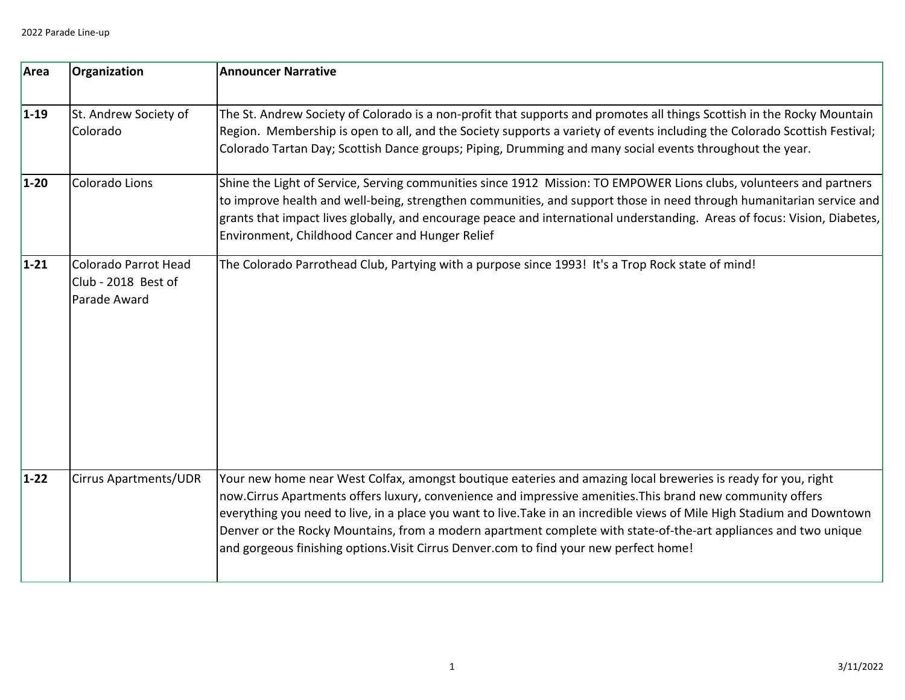| Area     | Organization                                                | <b>Announcer Narrative</b>                                                                                                                                                                                                                                                                                                                                                                                                                                                                                                                                         |
|----------|-------------------------------------------------------------|--------------------------------------------------------------------------------------------------------------------------------------------------------------------------------------------------------------------------------------------------------------------------------------------------------------------------------------------------------------------------------------------------------------------------------------------------------------------------------------------------------------------------------------------------------------------|
| $1 - 19$ | St. Andrew Society of<br>Colorado                           | The St. Andrew Society of Colorado is a non-profit that supports and promotes all things Scottish in the Rocky Mountain<br>Region. Membership is open to all, and the Society supports a variety of events including the Colorado Scottish Festival;<br>Colorado Tartan Day; Scottish Dance groups; Piping, Drumming and many social events throughout the year.                                                                                                                                                                                                   |
| $1-20$   | Colorado Lions                                              | Shine the Light of Service, Serving communities since 1912 Mission: TO EMPOWER Lions clubs, volunteers and partners<br>to improve health and well-being, strengthen communities, and support those in need through humanitarian service and<br>grants that impact lives globally, and encourage peace and international understanding. Areas of focus: Vision, Diabetes,<br>Environment, Childhood Cancer and Hunger Relief                                                                                                                                        |
| $1 - 21$ | Colorado Parrot Head<br>Club - 2018 Best of<br>Parade Award | The Colorado Parrothead Club, Partying with a purpose since 1993! It's a Trop Rock state of mind!                                                                                                                                                                                                                                                                                                                                                                                                                                                                  |
| $1 - 22$ | <b>Cirrus Apartments/UDR</b>                                | Your new home near West Colfax, amongst boutique eateries and amazing local breweries is ready for you, right<br>now.Cirrus Apartments offers luxury, convenience and impressive amenities. This brand new community offers<br>everything you need to live, in a place you want to live.Take in an incredible views of Mile High Stadium and Downtown<br>Denver or the Rocky Mountains, from a modern apartment complete with state-of-the-art appliances and two unique<br>and gorgeous finishing options. Visit Cirrus Denver.com to find your new perfect home! |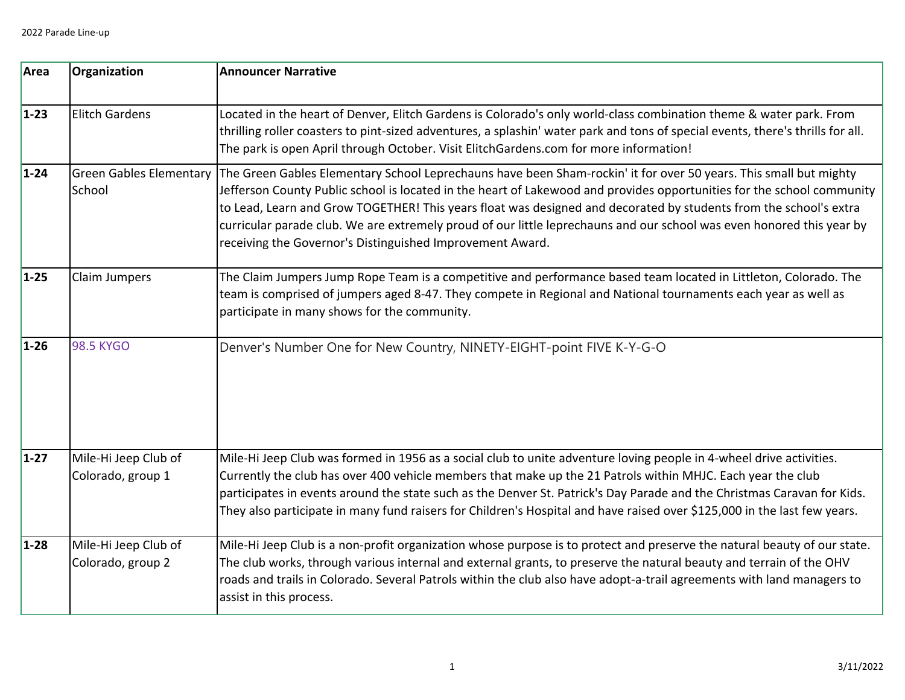| Area     | Organization                              | <b>Announcer Narrative</b>                                                                                                                                                                                                                                                                                                                                                                                                                                                                                                                             |
|----------|-------------------------------------------|--------------------------------------------------------------------------------------------------------------------------------------------------------------------------------------------------------------------------------------------------------------------------------------------------------------------------------------------------------------------------------------------------------------------------------------------------------------------------------------------------------------------------------------------------------|
| $1 - 23$ | <b>Elitch Gardens</b>                     | Located in the heart of Denver, Elitch Gardens is Colorado's only world-class combination theme & water park. From<br>thrilling roller coasters to pint-sized adventures, a splashin' water park and tons of special events, there's thrills for all.<br>The park is open April through October. Visit ElitchGardens.com for more information!                                                                                                                                                                                                         |
| $1 - 24$ | <b>Green Gables Elementary</b><br>School  | The Green Gables Elementary School Leprechauns have been Sham-rockin' it for over 50 years. This small but mighty<br>Jefferson County Public school is located in the heart of Lakewood and provides opportunities for the school community<br>to Lead, Learn and Grow TOGETHER! This years float was designed and decorated by students from the school's extra<br>curricular parade club. We are extremely proud of our little leprechauns and our school was even honored this year by<br>receiving the Governor's Distinguished Improvement Award. |
| $1 - 25$ | Claim Jumpers                             | The Claim Jumpers Jump Rope Team is a competitive and performance based team located in Littleton, Colorado. The<br>team is comprised of jumpers aged 8-47. They compete in Regional and National tournaments each year as well as<br>participate in many shows for the community.                                                                                                                                                                                                                                                                     |
| $1 - 26$ | <b>98.5 KYGO</b>                          | Denver's Number One for New Country, NINETY-EIGHT-point FIVE K-Y-G-O                                                                                                                                                                                                                                                                                                                                                                                                                                                                                   |
| $1 - 27$ | Mile-Hi Jeep Club of<br>Colorado, group 1 | Mile-Hi Jeep Club was formed in 1956 as a social club to unite adventure loving people in 4-wheel drive activities.<br>Currently the club has over 400 vehicle members that make up the 21 Patrols within MHJC. Each year the club<br>participates in events around the state such as the Denver St. Patrick's Day Parade and the Christmas Caravan for Kids.<br>They also participate in many fund raisers for Children's Hospital and have raised over \$125,000 in the last few years.                                                              |
| $1 - 28$ | Mile-Hi Jeep Club of<br>Colorado, group 2 | Mile-Hi Jeep Club is a non-profit organization whose purpose is to protect and preserve the natural beauty of our state.<br>The club works, through various internal and external grants, to preserve the natural beauty and terrain of the OHV<br>roads and trails in Colorado. Several Patrols within the club also have adopt-a-trail agreements with land managers to<br>assist in this process.                                                                                                                                                   |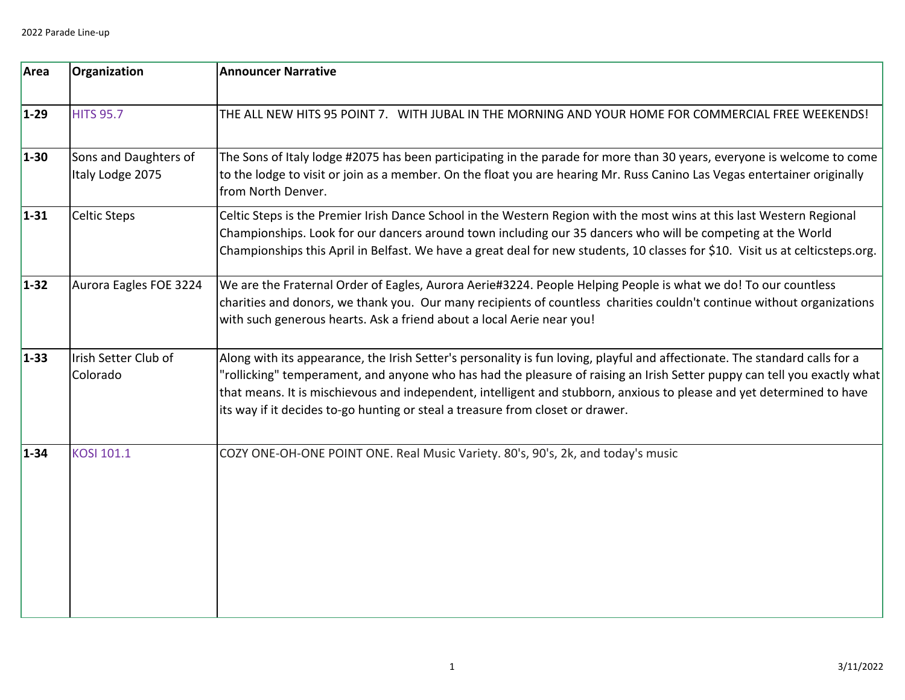| Area     | Organization                              | <b>Announcer Narrative</b>                                                                                                                                                                                                                                                                                                                                                                                                                                         |
|----------|-------------------------------------------|--------------------------------------------------------------------------------------------------------------------------------------------------------------------------------------------------------------------------------------------------------------------------------------------------------------------------------------------------------------------------------------------------------------------------------------------------------------------|
| $1-29$   | <b>HITS 95.7</b>                          | THE ALL NEW HITS 95 POINT 7. WITH JUBAL IN THE MORNING AND YOUR HOME FOR COMMERCIAL FREE WEEKENDS!                                                                                                                                                                                                                                                                                                                                                                 |
| $1 - 30$ | Sons and Daughters of<br>Italy Lodge 2075 | The Sons of Italy lodge #2075 has been participating in the parade for more than 30 years, everyone is welcome to come<br>to the lodge to visit or join as a member. On the float you are hearing Mr. Russ Canino Las Vegas entertainer originally<br>from North Denver.                                                                                                                                                                                           |
| $1 - 31$ | <b>Celtic Steps</b>                       | Celtic Steps is the Premier Irish Dance School in the Western Region with the most wins at this last Western Regional<br>Championships. Look for our dancers around town including our 35 dancers who will be competing at the World<br>Championships this April in Belfast. We have a great deal for new students, 10 classes for \$10. Visit us at celticsteps.org.                                                                                              |
| $1 - 32$ | Aurora Eagles FOE 3224                    | We are the Fraternal Order of Eagles, Aurora Aerie#3224. People Helping People is what we do! To our countless<br>charities and donors, we thank you. Our many recipients of countless charities couldn't continue without organizations<br>with such generous hearts. Ask a friend about a local Aerie near you!                                                                                                                                                  |
| $1 - 33$ | Irish Setter Club of<br>Colorado          | Along with its appearance, the Irish Setter's personality is fun loving, playful and affectionate. The standard calls for a<br>'rollicking" temperament, and anyone who has had the pleasure of raising an Irish Setter puppy can tell you exactly what<br>that means. It is mischievous and independent, intelligent and stubborn, anxious to please and yet determined to have<br>its way if it decides to-go hunting or steal a treasure from closet or drawer. |
| $1 - 34$ | KOSI 101.1                                | COZY ONE-OH-ONE POINT ONE. Real Music Variety. 80's, 90's, 2k, and today's music                                                                                                                                                                                                                                                                                                                                                                                   |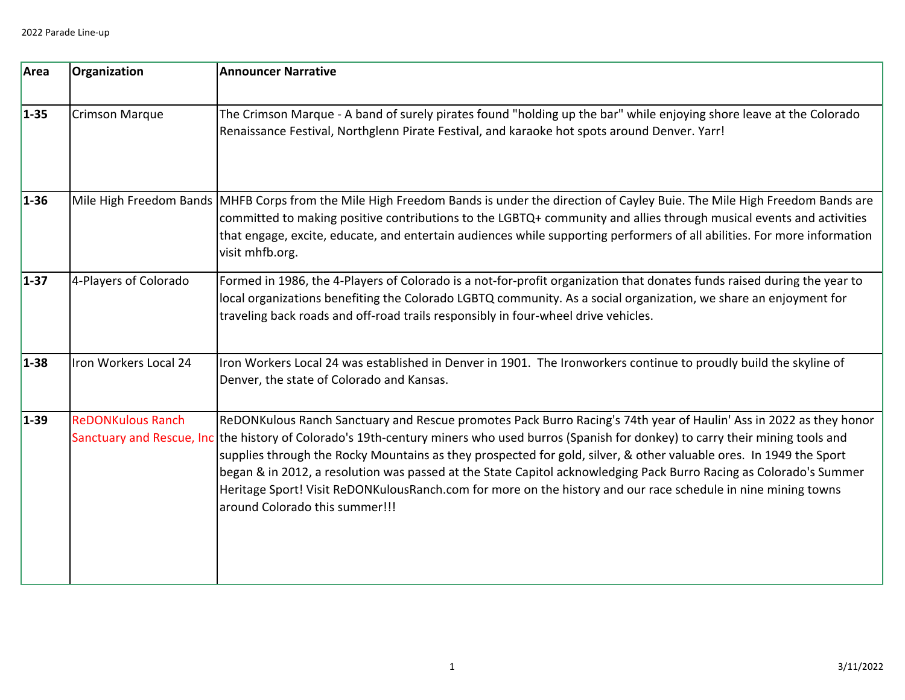| Area     | Organization             | <b>Announcer Narrative</b>                                                                                                                                                                                                                                                                                                                                                                                                                                                                                                                                                                                                                                        |
|----------|--------------------------|-------------------------------------------------------------------------------------------------------------------------------------------------------------------------------------------------------------------------------------------------------------------------------------------------------------------------------------------------------------------------------------------------------------------------------------------------------------------------------------------------------------------------------------------------------------------------------------------------------------------------------------------------------------------|
| $1 - 35$ | <b>Crimson Marque</b>    | The Crimson Marque - A band of surely pirates found "holding up the bar" while enjoying shore leave at the Colorado<br>Renaissance Festival, Northglenn Pirate Festival, and karaoke hot spots around Denver. Yarr!                                                                                                                                                                                                                                                                                                                                                                                                                                               |
| $1 - 36$ |                          | Mile High Freedom Bands MHFB Corps from the Mile High Freedom Bands is under the direction of Cayley Buie. The Mile High Freedom Bands are<br>committed to making positive contributions to the LGBTQ+ community and allies through musical events and activities<br>that engage, excite, educate, and entertain audiences while supporting performers of all abilities. For more information<br>visit mhfb.org.                                                                                                                                                                                                                                                  |
| $1 - 37$ | 4-Players of Colorado    | Formed in 1986, the 4-Players of Colorado is a not-for-profit organization that donates funds raised during the year to<br>local organizations benefiting the Colorado LGBTQ community. As a social organization, we share an enjoyment for<br>traveling back roads and off-road trails responsibly in four-wheel drive vehicles.                                                                                                                                                                                                                                                                                                                                 |
| $1 - 38$ | Iron Workers Local 24    | Iron Workers Local 24 was established in Denver in 1901. The Ironworkers continue to proudly build the skyline of<br>Denver, the state of Colorado and Kansas.                                                                                                                                                                                                                                                                                                                                                                                                                                                                                                    |
| $1 - 39$ | <b>ReDONKulous Ranch</b> | ReDONKulous Ranch Sanctuary and Rescue promotes Pack Burro Racing's 74th year of Haulin' Ass in 2022 as they honor<br>Sanctuary and Rescue, Inc the history of Colorado's 19th-century miners who used burros (Spanish for donkey) to carry their mining tools and<br>supplies through the Rocky Mountains as they prospected for gold, silver, & other valuable ores. In 1949 the Sport<br>began & in 2012, a resolution was passed at the State Capitol acknowledging Pack Burro Racing as Colorado's Summer<br>Heritage Sport! Visit ReDONKulousRanch.com for more on the history and our race schedule in nine mining towns<br>around Colorado this summer!!! |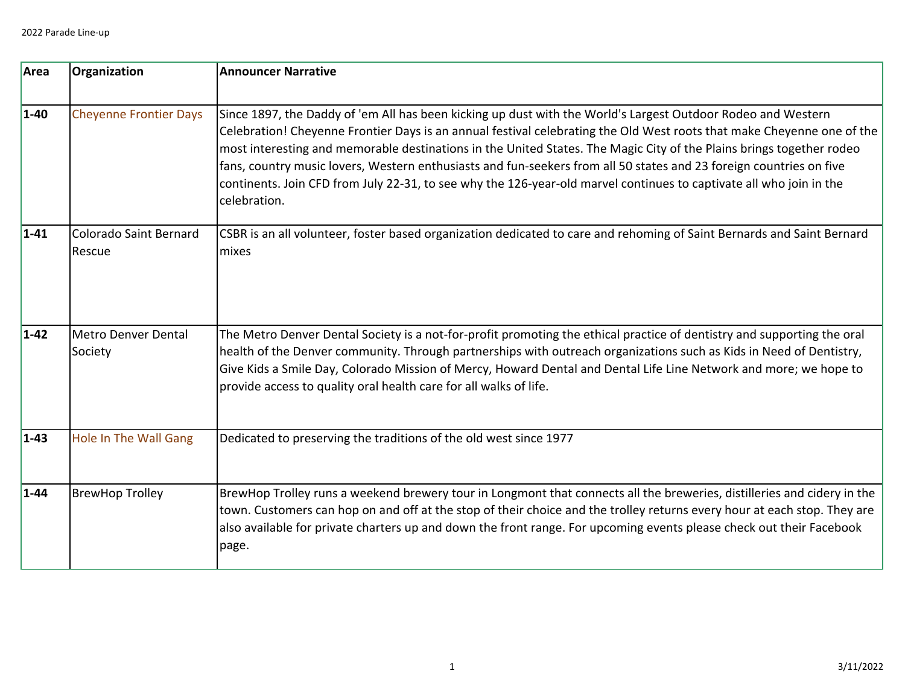| Area     | Organization                     | <b>Announcer Narrative</b>                                                                                                                                                                                                                                                                                                                                                                                                                                                                                                                                                                                                   |
|----------|----------------------------------|------------------------------------------------------------------------------------------------------------------------------------------------------------------------------------------------------------------------------------------------------------------------------------------------------------------------------------------------------------------------------------------------------------------------------------------------------------------------------------------------------------------------------------------------------------------------------------------------------------------------------|
| $1 - 40$ | <b>Cheyenne Frontier Days</b>    | Since 1897, the Daddy of 'em All has been kicking up dust with the World's Largest Outdoor Rodeo and Western<br>Celebration! Cheyenne Frontier Days is an annual festival celebrating the Old West roots that make Cheyenne one of the<br>most interesting and memorable destinations in the United States. The Magic City of the Plains brings together rodeo<br>fans, country music lovers, Western enthusiasts and fun-seekers from all 50 states and 23 foreign countries on five<br>continents. Join CFD from July 22-31, to see why the 126-year-old marvel continues to captivate all who join in the<br>celebration. |
| $1 - 41$ | Colorado Saint Bernard<br>Rescue | CSBR is an all volunteer, foster based organization dedicated to care and rehoming of Saint Bernards and Saint Bernard<br>mixes                                                                                                                                                                                                                                                                                                                                                                                                                                                                                              |
| $1 - 42$ | Metro Denver Dental<br>Society   | The Metro Denver Dental Society is a not-for-profit promoting the ethical practice of dentistry and supporting the oral<br>health of the Denver community. Through partnerships with outreach organizations such as Kids in Need of Dentistry,<br>Give Kids a Smile Day, Colorado Mission of Mercy, Howard Dental and Dental Life Line Network and more; we hope to<br>provide access to quality oral health care for all walks of life.                                                                                                                                                                                     |
| $1 - 43$ | <b>Hole In The Wall Gang</b>     | Dedicated to preserving the traditions of the old west since 1977                                                                                                                                                                                                                                                                                                                                                                                                                                                                                                                                                            |
| $1 - 44$ | <b>BrewHop Trolley</b>           | BrewHop Trolley runs a weekend brewery tour in Longmont that connects all the breweries, distilleries and cidery in the<br>town. Customers can hop on and off at the stop of their choice and the trolley returns every hour at each stop. They are<br>also available for private charters up and down the front range. For upcoming events please check out their Facebook<br>page.                                                                                                                                                                                                                                         |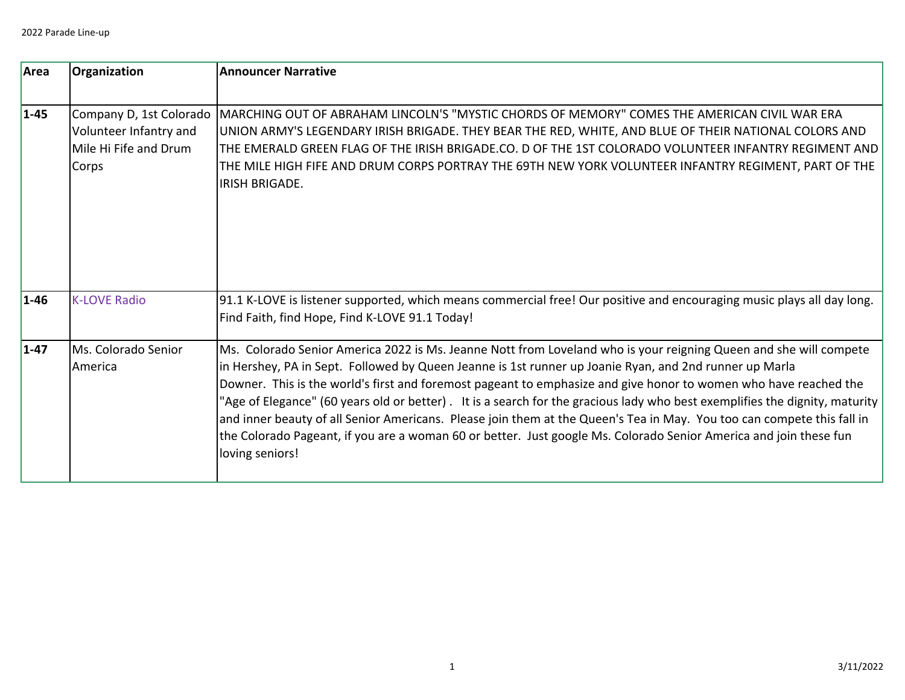| Area     | Organization                                                                        | <b>Announcer Narrative</b>                                                                                                                                                                                                                                                                                                                                                                                                                                                                                                                                                                                                                                                                                                                       |
|----------|-------------------------------------------------------------------------------------|--------------------------------------------------------------------------------------------------------------------------------------------------------------------------------------------------------------------------------------------------------------------------------------------------------------------------------------------------------------------------------------------------------------------------------------------------------------------------------------------------------------------------------------------------------------------------------------------------------------------------------------------------------------------------------------------------------------------------------------------------|
| $1 - 45$ | Company D, 1st Colorado<br>Volunteer Infantry and<br>Mile Hi Fife and Drum<br>Corps | MARCHING OUT OF ABRAHAM LINCOLN'S "MYSTIC CHORDS OF MEMORY" COMES THE AMERICAN CIVIL WAR ERA<br>UNION ARMY'S LEGENDARY IRISH BRIGADE. THEY BEAR THE RED, WHITE, AND BLUE OF THEIR NATIONAL COLORS AND<br>THE EMERALD GREEN FLAG OF THE IRISH BRIGADE.CO. D OF THE 1ST COLORADO VOLUNTEER INFANTRY REGIMENT AND<br>THE MILE HIGH FIFE AND DRUM CORPS PORTRAY THE 69TH NEW YORK VOLUNTEER INFANTRY REGIMENT, PART OF THE<br><b>IRISH BRIGADE.</b>                                                                                                                                                                                                                                                                                                  |
| $1 - 46$ | <b>K-LOVE Radio</b>                                                                 | 91.1 K-LOVE is listener supported, which means commercial free! Our positive and encouraging music plays all day long.<br>Find Faith, find Hope, Find K-LOVE 91.1 Today!                                                                                                                                                                                                                                                                                                                                                                                                                                                                                                                                                                         |
| $1 - 47$ | Ms. Colorado Senior<br>America                                                      | Ms. Colorado Senior America 2022 is Ms. Jeanne Nott from Loveland who is your reigning Queen and she will compete<br>in Hershey, PA in Sept. Followed by Queen Jeanne is 1st runner up Joanie Ryan, and 2nd runner up Marla<br>Downer. This is the world's first and foremost pageant to emphasize and give honor to women who have reached the<br>"Age of Elegance" (60 years old or better). It is a search for the gracious lady who best exemplifies the dignity, maturity<br>and inner beauty of all Senior Americans. Please join them at the Queen's Tea in May. You too can compete this fall in<br>the Colorado Pageant, if you are a woman 60 or better. Just google Ms. Colorado Senior America and join these fun<br>loving seniors! |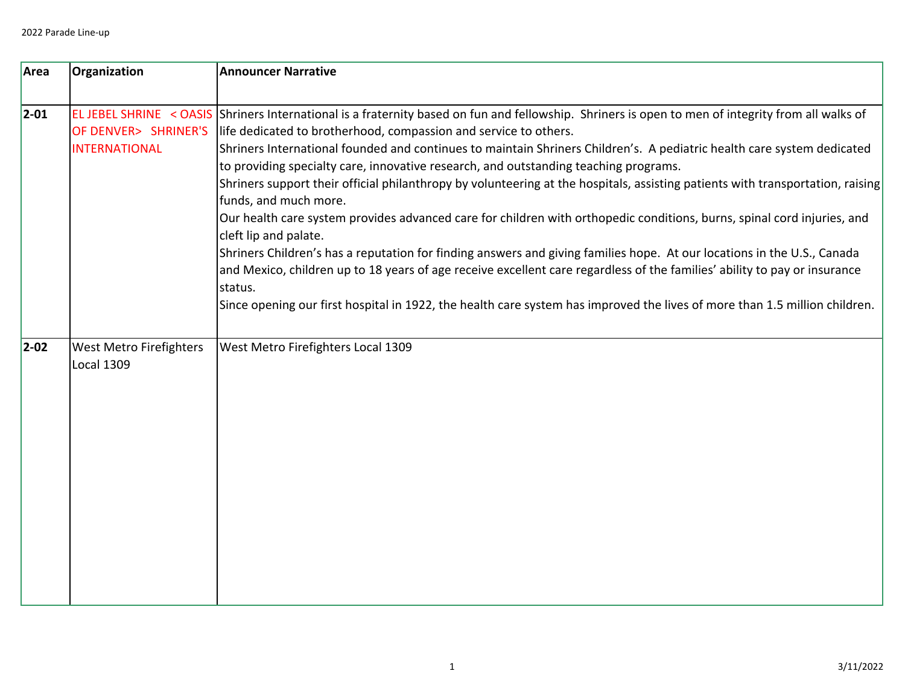| Area       | Organization                                 | <b>Announcer Narrative</b>                                                                                                                                                                                                                                                                                                                                                                                                                                                                                                                                                                                                                                                                                                                                                                                                                                                                                                                                                                                                                                                                                                                               |
|------------|----------------------------------------------|----------------------------------------------------------------------------------------------------------------------------------------------------------------------------------------------------------------------------------------------------------------------------------------------------------------------------------------------------------------------------------------------------------------------------------------------------------------------------------------------------------------------------------------------------------------------------------------------------------------------------------------------------------------------------------------------------------------------------------------------------------------------------------------------------------------------------------------------------------------------------------------------------------------------------------------------------------------------------------------------------------------------------------------------------------------------------------------------------------------------------------------------------------|
| $ 2 - 01 $ | OF DENVER> SHRINER'S<br><b>INTERNATIONAL</b> | EL JEBEL SHRINE < OASIS Shriners International is a fraternity based on fun and fellowship. Shriners is open to men of integrity from all walks of<br>life dedicated to brotherhood, compassion and service to others.<br>Shriners International founded and continues to maintain Shriners Children's. A pediatric health care system dedicated<br>to providing specialty care, innovative research, and outstanding teaching programs.<br>Shriners support their official philanthropy by volunteering at the hospitals, assisting patients with transportation, raising<br>funds, and much more.<br>Our health care system provides advanced care for children with orthopedic conditions, burns, spinal cord injuries, and<br>cleft lip and palate.<br>Shriners Children's has a reputation for finding answers and giving families hope. At our locations in the U.S., Canada<br>and Mexico, children up to 18 years of age receive excellent care regardless of the families' ability to pay or insurance<br>status.<br>Since opening our first hospital in 1922, the health care system has improved the lives of more than 1.5 million children. |
| $ 2 - 02 $ | West Metro Firefighters<br><b>Local 1309</b> | West Metro Firefighters Local 1309                                                                                                                                                                                                                                                                                                                                                                                                                                                                                                                                                                                                                                                                                                                                                                                                                                                                                                                                                                                                                                                                                                                       |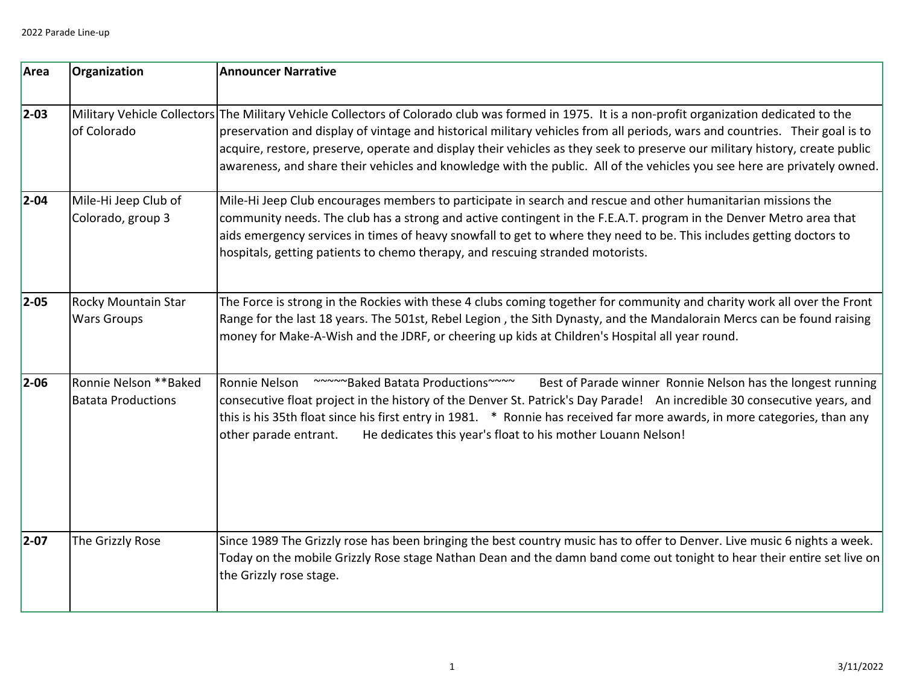| Area       | Organization                                        | <b>Announcer Narrative</b>                                                                                                                                                                                                                                                                                                                                                                                                                                                                                                                  |
|------------|-----------------------------------------------------|---------------------------------------------------------------------------------------------------------------------------------------------------------------------------------------------------------------------------------------------------------------------------------------------------------------------------------------------------------------------------------------------------------------------------------------------------------------------------------------------------------------------------------------------|
| $ 2 - 03 $ | of Colorado                                         | Military Vehicle Collectors The Military Vehicle Collectors of Colorado club was formed in 1975. It is a non-profit organization dedicated to the<br>preservation and display of vintage and historical military vehicles from all periods, wars and countries. Their goal is to<br>acquire, restore, preserve, operate and display their vehicles as they seek to preserve our military history, create public<br>awareness, and share their vehicles and knowledge with the public. All of the vehicles you see here are privately owned. |
| $ 2 - 04 $ | Mile-Hi Jeep Club of<br>Colorado, group 3           | Mile-Hi Jeep Club encourages members to participate in search and rescue and other humanitarian missions the<br>community needs. The club has a strong and active contingent in the F.E.A.T. program in the Denver Metro area that<br>aids emergency services in times of heavy snowfall to get to where they need to be. This includes getting doctors to<br>hospitals, getting patients to chemo therapy, and rescuing stranded motorists.                                                                                                |
| $ 2 - 05 $ | <b>Rocky Mountain Star</b><br><b>Wars Groups</b>    | The Force is strong in the Rockies with these 4 clubs coming together for community and charity work all over the Front<br>Range for the last 18 years. The 501st, Rebel Legion, the Sith Dynasty, and the Mandalorain Mercs can be found raising<br>money for Make-A-Wish and the JDRF, or cheering up kids at Children's Hospital all year round.                                                                                                                                                                                         |
| $ 2 - 06 $ | Ronnie Nelson ** Baked<br><b>Batata Productions</b> | ~~~~~ Baked Batata Productions~~~~<br>Ronnie Nelson<br>Best of Parade winner Ronnie Nelson has the longest running<br>consecutive float project in the history of the Denver St. Patrick's Day Parade! An incredible 30 consecutive years, and<br>this is his 35th float since his first entry in 1981. * Ronnie has received far more awards, in more categories, than any<br>He dedicates this year's float to his mother Louann Nelson!<br>other parade entrant.                                                                         |
| $ 2 - 07 $ | The Grizzly Rose                                    | Since 1989 The Grizzly rose has been bringing the best country music has to offer to Denver. Live music 6 nights a week.<br>Today on the mobile Grizzly Rose stage Nathan Dean and the damn band come out tonight to hear their entire set live on<br>the Grizzly rose stage.                                                                                                                                                                                                                                                               |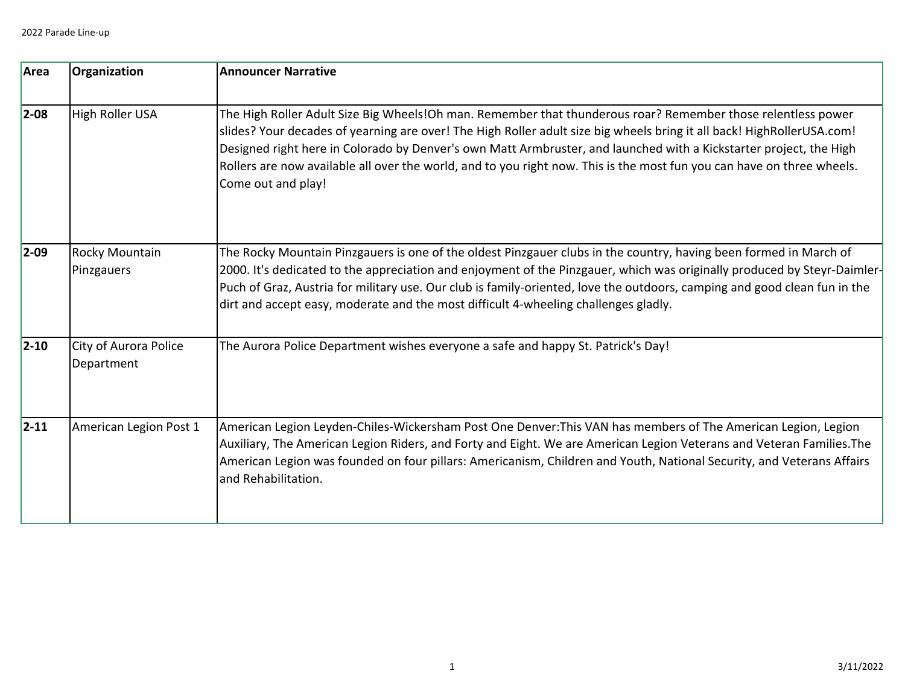| Area       | Organization                        | <b>Announcer Narrative</b>                                                                                                                                                                                                                                                                                                                                                                                                                                                                                   |
|------------|-------------------------------------|--------------------------------------------------------------------------------------------------------------------------------------------------------------------------------------------------------------------------------------------------------------------------------------------------------------------------------------------------------------------------------------------------------------------------------------------------------------------------------------------------------------|
| $ 2 - 08 $ | High Roller USA                     | The High Roller Adult Size Big Wheels!Oh man. Remember that thunderous roar? Remember those relentless power<br>slides? Your decades of yearning are over! The High Roller adult size big wheels bring it all back! HighRollerUSA.com!<br>Designed right here in Colorado by Denver's own Matt Armbruster, and launched with a Kickstarter project, the High<br>Rollers are now available all over the world, and to you right now. This is the most fun you can have on three wheels.<br>Come out and play! |
| $ 2 - 09 $ | <b>Rocky Mountain</b><br>Pinzgauers | The Rocky Mountain Pinzgauers is one of the oldest Pinzgauer clubs in the country, having been formed in March of<br>2000. It's dedicated to the appreciation and enjoyment of the Pinzgauer, which was originally produced by Steyr-Daimler-<br>Puch of Graz, Austria for military use. Our club is family-oriented, love the outdoors, camping and good clean fun in the<br>dirt and accept easy, moderate and the most difficult 4-wheeling challenges gladly.                                            |
| $ 2 - 10 $ | City of Aurora Police<br>Department | The Aurora Police Department wishes everyone a safe and happy St. Patrick's Day!                                                                                                                                                                                                                                                                                                                                                                                                                             |
| $ 2 - 11 $ | American Legion Post 1              | American Legion Leyden-Chiles-Wickersham Post One Denver: This VAN has members of The American Legion, Legion<br>Auxiliary, The American Legion Riders, and Forty and Eight. We are American Legion Veterans and Veteran Families.The<br>American Legion was founded on four pillars: Americanism, Children and Youth, National Security, and Veterans Affairs<br>and Rehabilitation.                                                                                                                        |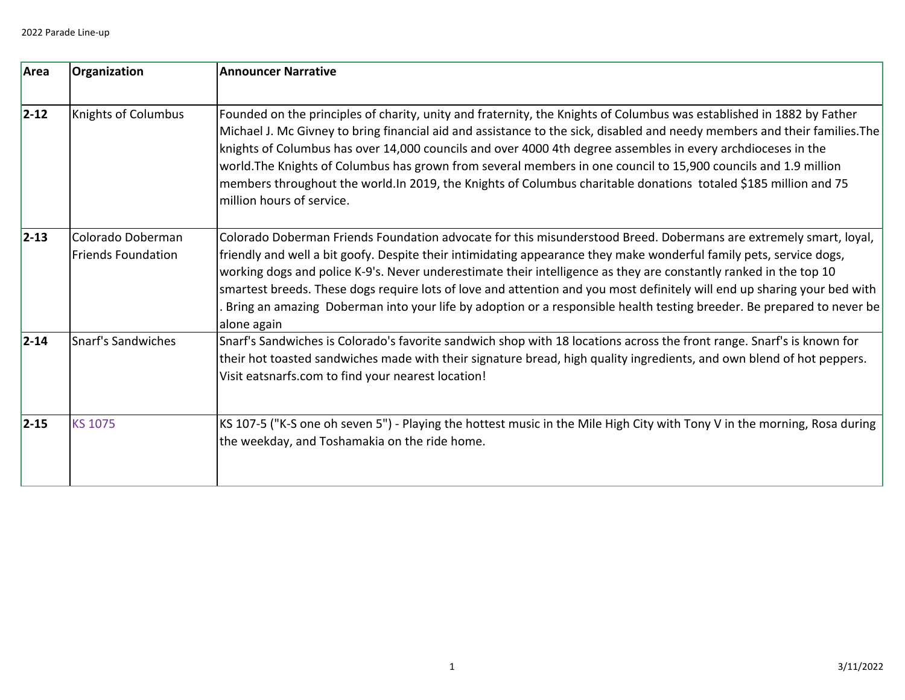| Area       | Organization                                   | <b>Announcer Narrative</b>                                                                                                                                                                                                                                                                                                                                                                                                                                                                                                                                                                                                              |
|------------|------------------------------------------------|-----------------------------------------------------------------------------------------------------------------------------------------------------------------------------------------------------------------------------------------------------------------------------------------------------------------------------------------------------------------------------------------------------------------------------------------------------------------------------------------------------------------------------------------------------------------------------------------------------------------------------------------|
| $ 2 - 12 $ | <b>Knights of Columbus</b>                     | Founded on the principles of charity, unity and fraternity, the Knights of Columbus was established in 1882 by Father<br>Michael J. Mc Givney to bring financial aid and assistance to the sick, disabled and needy members and their families. The<br>knights of Columbus has over 14,000 councils and over 4000 4th degree assembles in every archdioceses in the<br>world. The Knights of Columbus has grown from several members in one council to 15,900 councils and 1.9 million<br>members throughout the world. In 2019, the Knights of Columbus charitable donations totaled \$185 million and 75<br>million hours of service. |
| $ 2 - 13 $ | Colorado Doberman<br><b>Friends Foundation</b> | Colorado Doberman Friends Foundation advocate for this misunderstood Breed. Dobermans are extremely smart, loyal,<br>friendly and well a bit goofy. Despite their intimidating appearance they make wonderful family pets, service dogs,<br>working dogs and police K-9's. Never underestimate their intelligence as they are constantly ranked in the top 10<br>smartest breeds. These dogs require lots of love and attention and you most definitely will end up sharing your bed with<br>Bring an amazing Doberman into your life by adoption or a responsible health testing breeder. Be prepared to never be<br>alone again       |
| $ 2 - 14 $ | Snarf's Sandwiches                             | Snarf's Sandwiches is Colorado's favorite sandwich shop with 18 locations across the front range. Snarf's is known for<br>their hot toasted sandwiches made with their signature bread, high quality ingredients, and own blend of hot peppers.<br>Visit eatsnarfs.com to find your nearest location!                                                                                                                                                                                                                                                                                                                                   |
| $ 2 - 15 $ | <b>KS 1075</b>                                 | KS 107-5 ("K-S one oh seven 5") - Playing the hottest music in the Mile High City with Tony V in the morning, Rosa during<br>the weekday, and Toshamakia on the ride home.                                                                                                                                                                                                                                                                                                                                                                                                                                                              |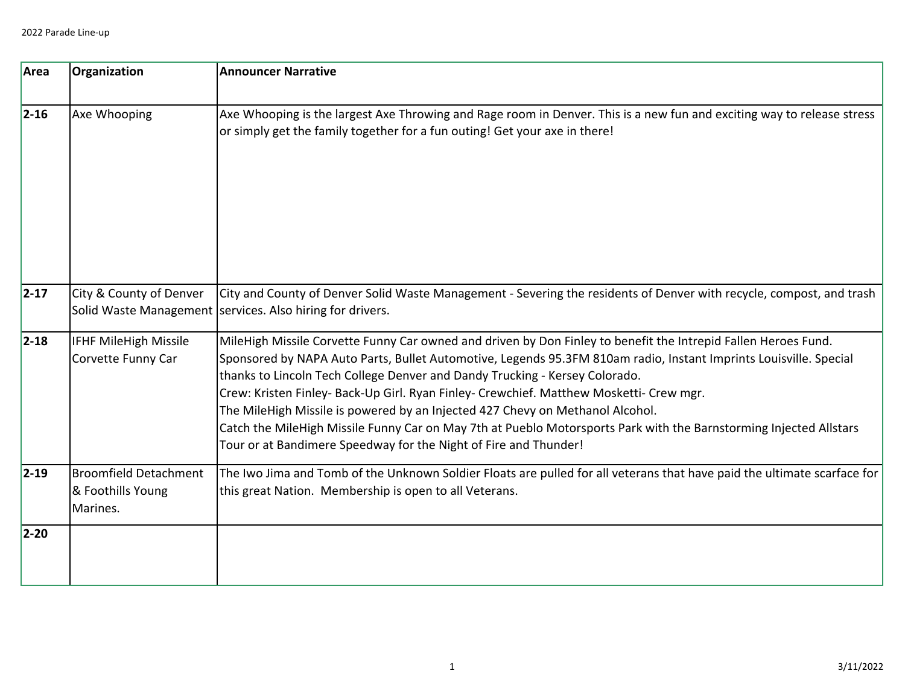| Area       | Organization                                                  | <b>Announcer Narrative</b>                                                                                                                                                                                                                                                                                                                                                                                                                                                                                                                                                                                                                                                               |
|------------|---------------------------------------------------------------|------------------------------------------------------------------------------------------------------------------------------------------------------------------------------------------------------------------------------------------------------------------------------------------------------------------------------------------------------------------------------------------------------------------------------------------------------------------------------------------------------------------------------------------------------------------------------------------------------------------------------------------------------------------------------------------|
| $ 2 - 16 $ | Axe Whooping                                                  | Axe Whooping is the largest Axe Throwing and Rage room in Denver. This is a new fun and exciting way to release stress<br>or simply get the family together for a fun outing! Get your axe in there!                                                                                                                                                                                                                                                                                                                                                                                                                                                                                     |
| $ 2 - 17 $ | City & County of Denver                                       | City and County of Denver Solid Waste Management - Severing the residents of Denver with recycle, compost, and trash<br>Solid Waste Management   services. Also hiring for drivers.                                                                                                                                                                                                                                                                                                                                                                                                                                                                                                      |
| $ 2 - 18 $ | IFHF MileHigh Missile<br>Corvette Funny Car                   | MileHigh Missile Corvette Funny Car owned and driven by Don Finley to benefit the Intrepid Fallen Heroes Fund.<br>Sponsored by NAPA Auto Parts, Bullet Automotive, Legends 95.3FM 810am radio, Instant Imprints Louisville. Special<br>thanks to Lincoln Tech College Denver and Dandy Trucking - Kersey Colorado.<br>Crew: Kristen Finley- Back-Up Girl. Ryan Finley- Crewchief. Matthew Mosketti- Crew mgr.<br>The MileHigh Missile is powered by an Injected 427 Chevy on Methanol Alcohol.<br>Catch the MileHigh Missile Funny Car on May 7th at Pueblo Motorsports Park with the Barnstorming Injected Allstars<br>Tour or at Bandimere Speedway for the Night of Fire and Thunder! |
| $ 2 - 19 $ | <b>Broomfield Detachment</b><br>& Foothills Young<br>Marines. | The Iwo Jima and Tomb of the Unknown Soldier Floats are pulled for all veterans that have paid the ultimate scarface for<br>this great Nation. Membership is open to all Veterans.                                                                                                                                                                                                                                                                                                                                                                                                                                                                                                       |
| $2 - 20$   |                                                               |                                                                                                                                                                                                                                                                                                                                                                                                                                                                                                                                                                                                                                                                                          |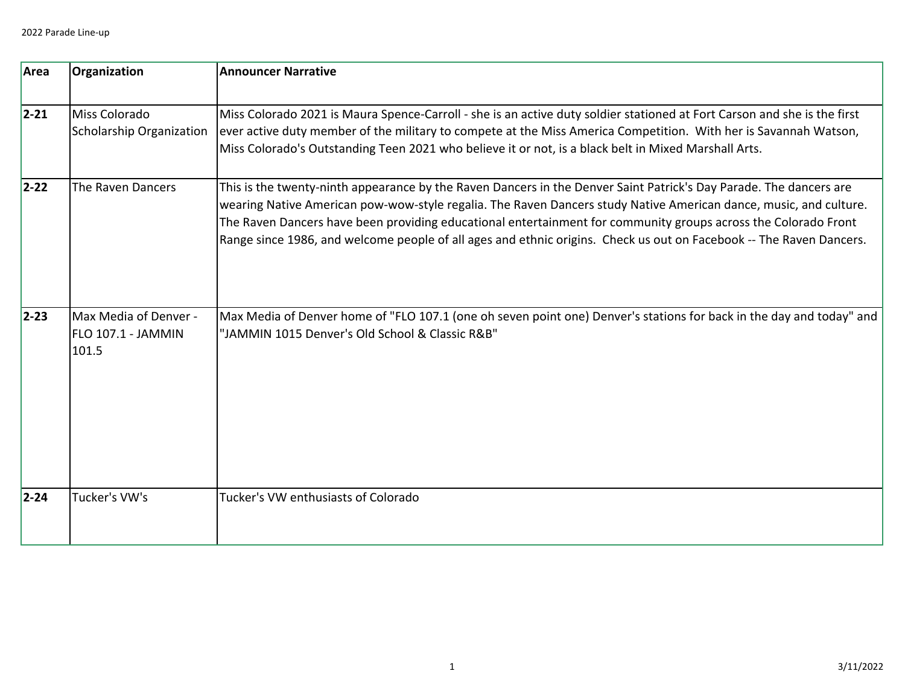| Area       | Organization                                         | <b>Announcer Narrative</b>                                                                                                                                                                                                                                                                                                                                                                                                                                                       |
|------------|------------------------------------------------------|----------------------------------------------------------------------------------------------------------------------------------------------------------------------------------------------------------------------------------------------------------------------------------------------------------------------------------------------------------------------------------------------------------------------------------------------------------------------------------|
| $ 2 - 21 $ | Miss Colorado<br><b>Scholarship Organization</b>     | Miss Colorado 2021 is Maura Spence-Carroll - she is an active duty soldier stationed at Fort Carson and she is the first<br>ever active duty member of the military to compete at the Miss America Competition. With her is Savannah Watson,<br>Miss Colorado's Outstanding Teen 2021 who believe it or not, is a black belt in Mixed Marshall Arts.                                                                                                                             |
| $2 - 22$   | The Raven Dancers                                    | This is the twenty-ninth appearance by the Raven Dancers in the Denver Saint Patrick's Day Parade. The dancers are<br>wearing Native American pow-wow-style regalia. The Raven Dancers study Native American dance, music, and culture.<br>The Raven Dancers have been providing educational entertainment for community groups across the Colorado Front<br>Range since 1986, and welcome people of all ages and ethnic origins. Check us out on Facebook -- The Raven Dancers. |
| $ 2 - 23 $ | Max Media of Denver -<br>FLO 107.1 - JAMMIN<br>101.5 | Max Media of Denver home of "FLO 107.1 (one oh seven point one) Denver's stations for back in the day and today" and<br>"JAMMIN 1015 Denver's Old School & Classic R&B"                                                                                                                                                                                                                                                                                                          |
| $ 2 - 24 $ | Tucker's VW's                                        | Tucker's VW enthusiasts of Colorado                                                                                                                                                                                                                                                                                                                                                                                                                                              |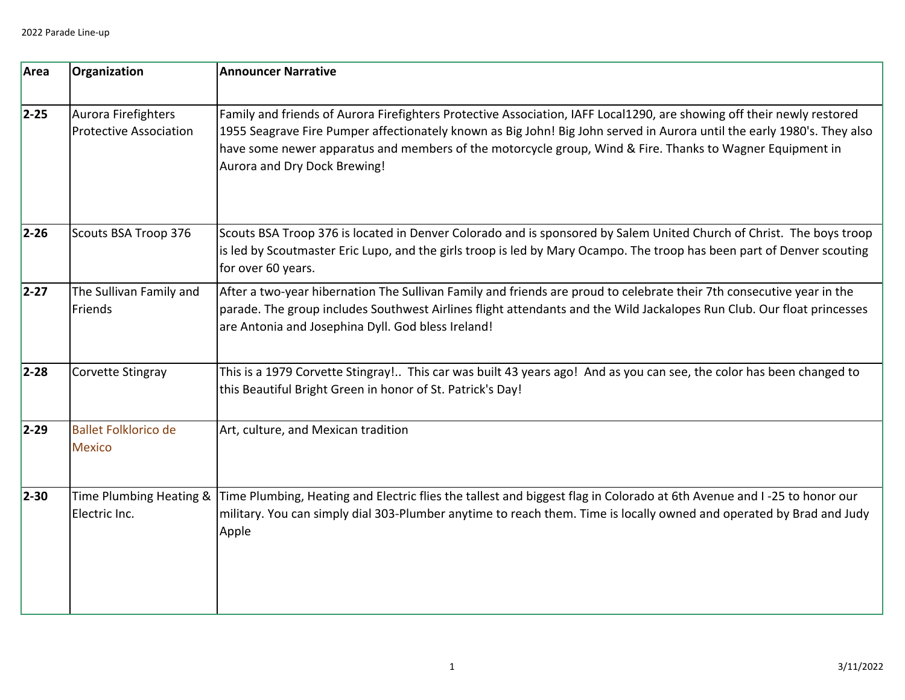| Area       | Organization                                         | <b>Announcer Narrative</b>                                                                                                                                                                                                                                                                                                                                                                     |
|------------|------------------------------------------------------|------------------------------------------------------------------------------------------------------------------------------------------------------------------------------------------------------------------------------------------------------------------------------------------------------------------------------------------------------------------------------------------------|
| $2 - 25$   | Aurora Firefighters<br><b>Protective Association</b> | Family and friends of Aurora Firefighters Protective Association, IAFF Local1290, are showing off their newly restored<br>1955 Seagrave Fire Pumper affectionately known as Big John! Big John served in Aurora until the early 1980's. They also<br>have some newer apparatus and members of the motorcycle group, Wind & Fire. Thanks to Wagner Equipment in<br>Aurora and Dry Dock Brewing! |
| $ 2 - 26 $ | Scouts BSA Troop 376                                 | Scouts BSA Troop 376 is located in Denver Colorado and is sponsored by Salem United Church of Christ. The boys troop<br>is led by Scoutmaster Eric Lupo, and the girls troop is led by Mary Ocampo. The troop has been part of Denver scouting<br>for over 60 years.                                                                                                                           |
| $2 - 27$   | The Sullivan Family and<br>Friends                   | After a two-year hibernation The Sullivan Family and friends are proud to celebrate their 7th consecutive year in the<br>parade. The group includes Southwest Airlines flight attendants and the Wild Jackalopes Run Club. Our float princesses<br>are Antonia and Josephina Dyll. God bless Ireland!                                                                                          |
| $2 - 28$   | Corvette Stingray                                    | This is a 1979 Corvette Stingray! This car was built 43 years ago! And as you can see, the color has been changed to<br>this Beautiful Bright Green in honor of St. Patrick's Day!                                                                                                                                                                                                             |
| $ 2 - 29 $ | <b>Ballet Folklorico de</b><br><b>Mexico</b>         | Art, culture, and Mexican tradition                                                                                                                                                                                                                                                                                                                                                            |
| $ 2 - 30 $ | Time Plumbing Heating &<br>Electric Inc.             | Time Plumbing, Heating and Electric flies the tallest and biggest flag in Colorado at 6th Avenue and I-25 to honor our<br>military. You can simply dial 303-Plumber anytime to reach them. Time is locally owned and operated by Brad and Judy<br>Apple                                                                                                                                        |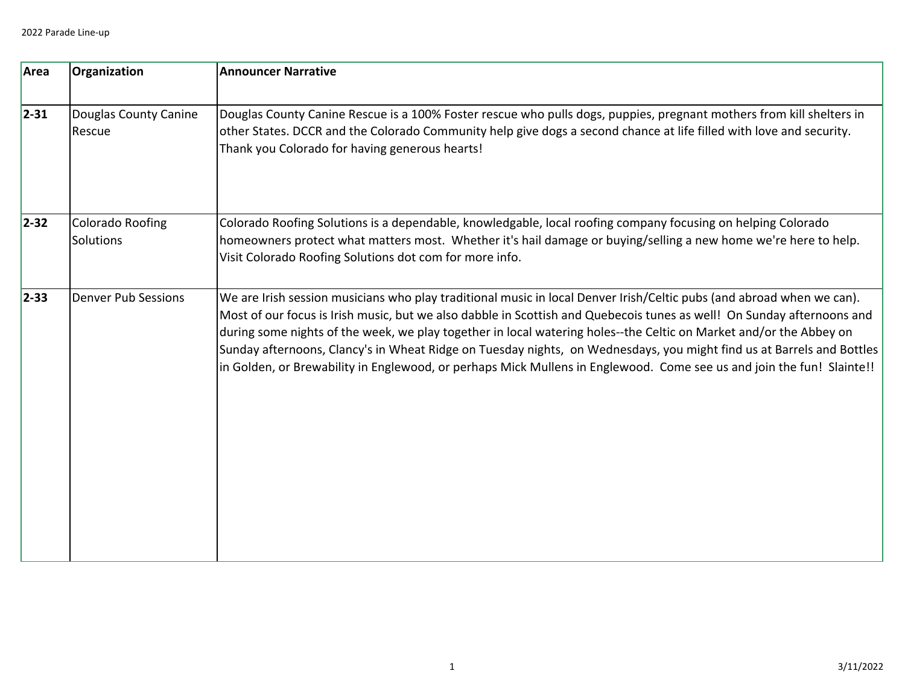| Area       | Organization                         | <b>Announcer Narrative</b>                                                                                                                                                                                                                                                                                                                                                                                                                                                                                                                                                                                              |
|------------|--------------------------------------|-------------------------------------------------------------------------------------------------------------------------------------------------------------------------------------------------------------------------------------------------------------------------------------------------------------------------------------------------------------------------------------------------------------------------------------------------------------------------------------------------------------------------------------------------------------------------------------------------------------------------|
| $ 2 - 31 $ | Douglas County Canine<br>Rescue      | Douglas County Canine Rescue is a 100% Foster rescue who pulls dogs, puppies, pregnant mothers from kill shelters in<br>other States. DCCR and the Colorado Community help give dogs a second chance at life filled with love and security.<br>Thank you Colorado for having generous hearts!                                                                                                                                                                                                                                                                                                                           |
| $ 2 - 32 $ | <b>Colorado Roofing</b><br>Solutions | Colorado Roofing Solutions is a dependable, knowledgable, local roofing company focusing on helping Colorado<br>homeowners protect what matters most. Whether it's hail damage or buying/selling a new home we're here to help.<br>Visit Colorado Roofing Solutions dot com for more info.                                                                                                                                                                                                                                                                                                                              |
| $ 2 - 33 $ | <b>Denver Pub Sessions</b>           | We are Irish session musicians who play traditional music in local Denver Irish/Celtic pubs (and abroad when we can).<br>Most of our focus is Irish music, but we also dabble in Scottish and Quebecois tunes as well! On Sunday afternoons and<br>during some nights of the week, we play together in local watering holes--the Celtic on Market and/or the Abbey on<br>Sunday afternoons, Clancy's in Wheat Ridge on Tuesday nights, on Wednesdays, you might find us at Barrels and Bottles<br>in Golden, or Brewability in Englewood, or perhaps Mick Mullens in Englewood. Come see us and join the fun! Slainte!! |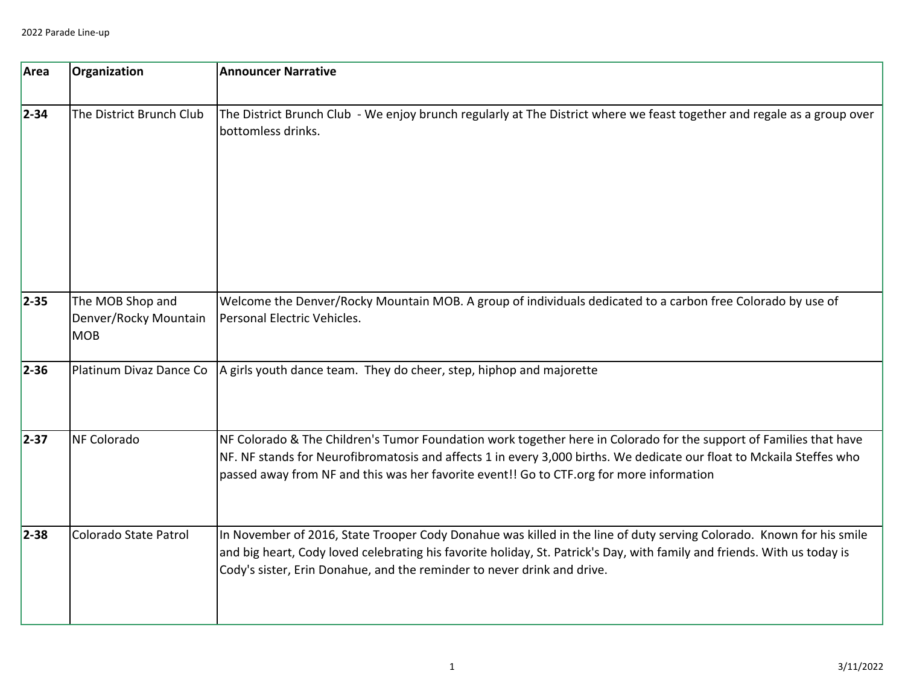| Area       | Organization                                            | <b>Announcer Narrative</b>                                                                                                                                                                                                                                                                                                              |
|------------|---------------------------------------------------------|-----------------------------------------------------------------------------------------------------------------------------------------------------------------------------------------------------------------------------------------------------------------------------------------------------------------------------------------|
| $ 2 - 34 $ | The District Brunch Club                                | The District Brunch Club - We enjoy brunch regularly at The District where we feast together and regale as a group over<br>bottomless drinks.                                                                                                                                                                                           |
| $2 - 35$   | The MOB Shop and<br>Denver/Rocky Mountain<br><b>MOB</b> | Welcome the Denver/Rocky Mountain MOB. A group of individuals dedicated to a carbon free Colorado by use of<br>Personal Electric Vehicles.                                                                                                                                                                                              |
| $2 - 36$   | Platinum Divaz Dance Co                                 | A girls youth dance team. They do cheer, step, hiphop and majorette                                                                                                                                                                                                                                                                     |
| $ 2 - 37 $ | <b>NF Colorado</b>                                      | NF Colorado & The Children's Tumor Foundation work together here in Colorado for the support of Families that have<br>NF. NF stands for Neurofibromatosis and affects 1 in every 3,000 births. We dedicate our float to Mckaila Steffes who<br>passed away from NF and this was her favorite event!! Go to CTF.org for more information |
| $2 - 38$   | Colorado State Patrol                                   | In November of 2016, State Trooper Cody Donahue was killed in the line of duty serving Colorado. Known for his smile<br>and big heart, Cody loved celebrating his favorite holiday, St. Patrick's Day, with family and friends. With us today is<br>Cody's sister, Erin Donahue, and the reminder to never drink and drive.             |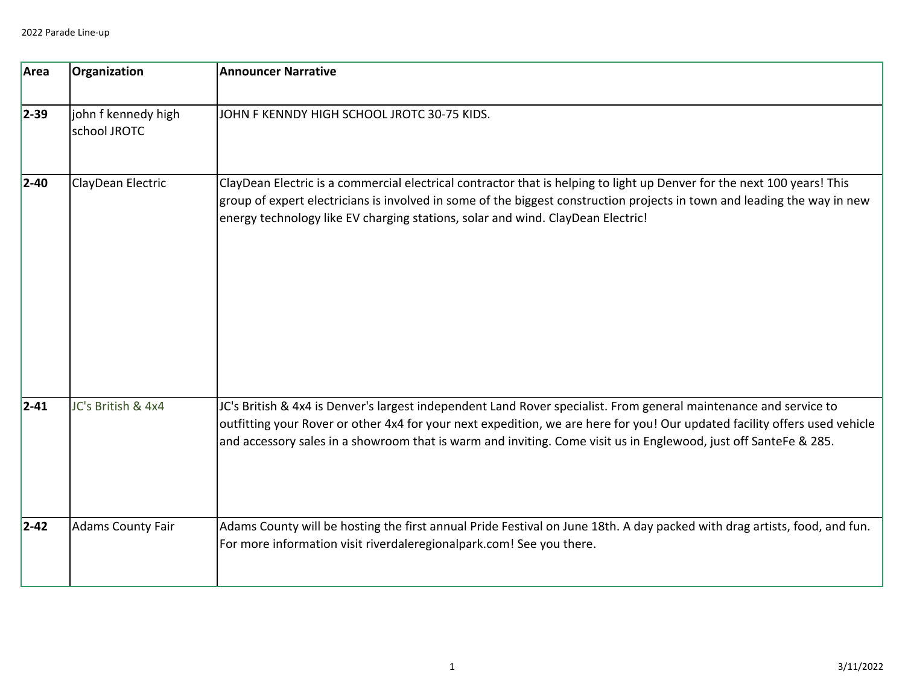| Area       | Organization                        | <b>Announcer Narrative</b>                                                                                                                                                                                                                                                                                                                                          |
|------------|-------------------------------------|---------------------------------------------------------------------------------------------------------------------------------------------------------------------------------------------------------------------------------------------------------------------------------------------------------------------------------------------------------------------|
| $ 2 - 39 $ | john f kennedy high<br>school JROTC | JOHN F KENNDY HIGH SCHOOL JROTC 30-75 KIDS.                                                                                                                                                                                                                                                                                                                         |
| $ 2 - 40 $ | ClayDean Electric                   | ClayDean Electric is a commercial electrical contractor that is helping to light up Denver for the next 100 years! This<br>group of expert electricians is involved in some of the biggest construction projects in town and leading the way in new<br>energy technology like EV charging stations, solar and wind. ClayDean Electric!                              |
| $ 2 - 41 $ | JC's British & 4x4                  | JC's British & 4x4 is Denver's largest independent Land Rover specialist. From general maintenance and service to<br>outfitting your Rover or other 4x4 for your next expedition, we are here for you! Our updated facility offers used vehicle<br>and accessory sales in a showroom that is warm and inviting. Come visit us in Englewood, just off SanteFe & 285. |
| $ 2 - 42 $ | <b>Adams County Fair</b>            | Adams County will be hosting the first annual Pride Festival on June 18th. A day packed with drag artists, food, and fun.<br>For more information visit riverdaleregionalpark.com! See you there.                                                                                                                                                                   |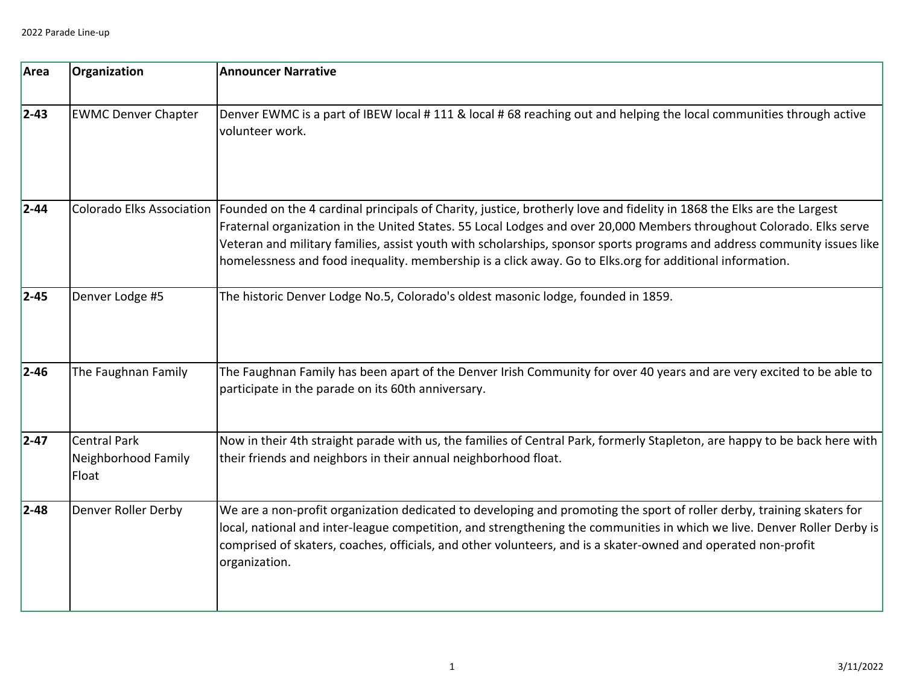| Area       | Organization                                        | <b>Announcer Narrative</b>                                                                                                                                                                                                                                                                                                                                                                                                                                                                                        |
|------------|-----------------------------------------------------|-------------------------------------------------------------------------------------------------------------------------------------------------------------------------------------------------------------------------------------------------------------------------------------------------------------------------------------------------------------------------------------------------------------------------------------------------------------------------------------------------------------------|
| $2 - 43$   | <b>EWMC Denver Chapter</b>                          | Denver EWMC is a part of IBEW local #111 & local #68 reaching out and helping the local communities through active<br>volunteer work.                                                                                                                                                                                                                                                                                                                                                                             |
| $2 - 44$   |                                                     | Colorado Elks Association  Founded on the 4 cardinal principals of Charity, justice, brotherly love and fidelity in 1868 the Elks are the Largest<br>Fraternal organization in the United States. 55 Local Lodges and over 20,000 Members throughout Colorado. Elks serve<br>Veteran and military families, assist youth with scholarships, sponsor sports programs and address community issues like<br>homelessness and food inequality. membership is a click away. Go to Elks.org for additional information. |
| $2 - 45$   | Denver Lodge #5                                     | The historic Denver Lodge No.5, Colorado's oldest masonic lodge, founded in 1859.                                                                                                                                                                                                                                                                                                                                                                                                                                 |
| $2 - 46$   | The Faughnan Family                                 | The Faughnan Family has been apart of the Denver Irish Community for over 40 years and are very excited to be able to<br>participate in the parade on its 60th anniversary.                                                                                                                                                                                                                                                                                                                                       |
| $2 - 47$   | <b>Central Park</b><br>Neighborhood Family<br>Float | Now in their 4th straight parade with us, the families of Central Park, formerly Stapleton, are happy to be back here with<br>their friends and neighbors in their annual neighborhood float.                                                                                                                                                                                                                                                                                                                     |
| $ 2 - 48 $ | Denver Roller Derby                                 | We are a non-profit organization dedicated to developing and promoting the sport of roller derby, training skaters for<br>local, national and inter-league competition, and strengthening the communities in which we live. Denver Roller Derby is<br>comprised of skaters, coaches, officials, and other volunteers, and is a skater-owned and operated non-profit<br>organization.                                                                                                                              |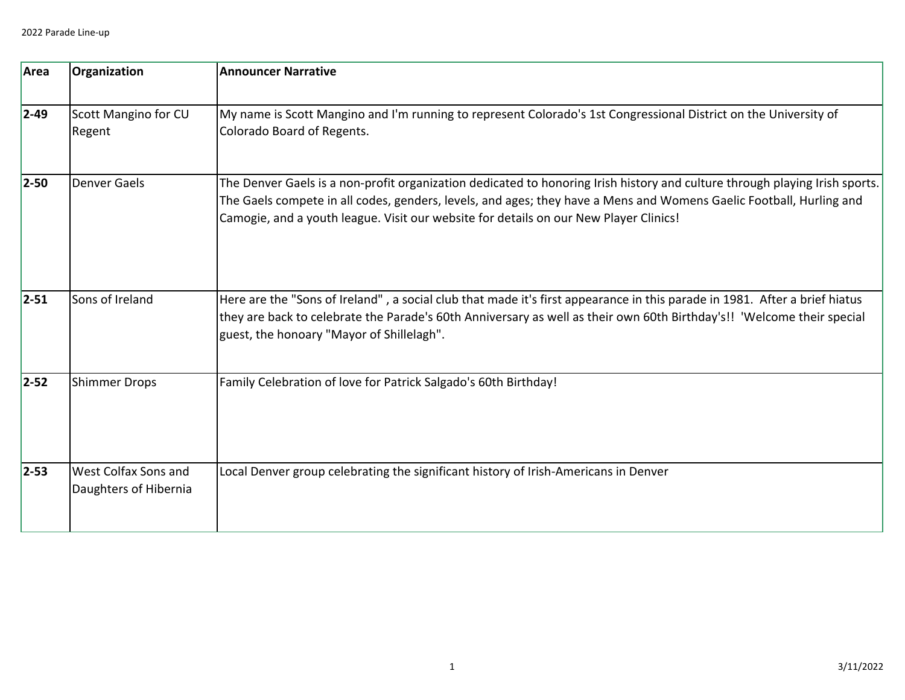| Area       | Organization                                  | <b>Announcer Narrative</b>                                                                                                                                                                                                                                                                                                                  |
|------------|-----------------------------------------------|---------------------------------------------------------------------------------------------------------------------------------------------------------------------------------------------------------------------------------------------------------------------------------------------------------------------------------------------|
| $ 2 - 49 $ | <b>Scott Mangino for CU</b><br>Regent         | My name is Scott Mangino and I'm running to represent Colorado's 1st Congressional District on the University of<br>Colorado Board of Regents.                                                                                                                                                                                              |
| $2-50$     | <b>Denver Gaels</b>                           | The Denver Gaels is a non-profit organization dedicated to honoring Irish history and culture through playing Irish sports.<br>The Gaels compete in all codes, genders, levels, and ages; they have a Mens and Womens Gaelic Football, Hurling and<br>Camogie, and a youth league. Visit our website for details on our New Player Clinics! |
| $ 2 - 51 $ | Sons of Ireland                               | Here are the "Sons of Ireland", a social club that made it's first appearance in this parade in 1981. After a brief hiatus<br>they are back to celebrate the Parade's 60th Anniversary as well as their own 60th Birthday's!! 'Welcome their special<br>guest, the honoary "Mayor of Shillelagh".                                           |
| $2 - 52$   | <b>Shimmer Drops</b>                          | Family Celebration of love for Patrick Salgado's 60th Birthday!                                                                                                                                                                                                                                                                             |
| $ 2 - 53 $ | West Colfax Sons and<br>Daughters of Hibernia | Local Denver group celebrating the significant history of Irish-Americans in Denver                                                                                                                                                                                                                                                         |